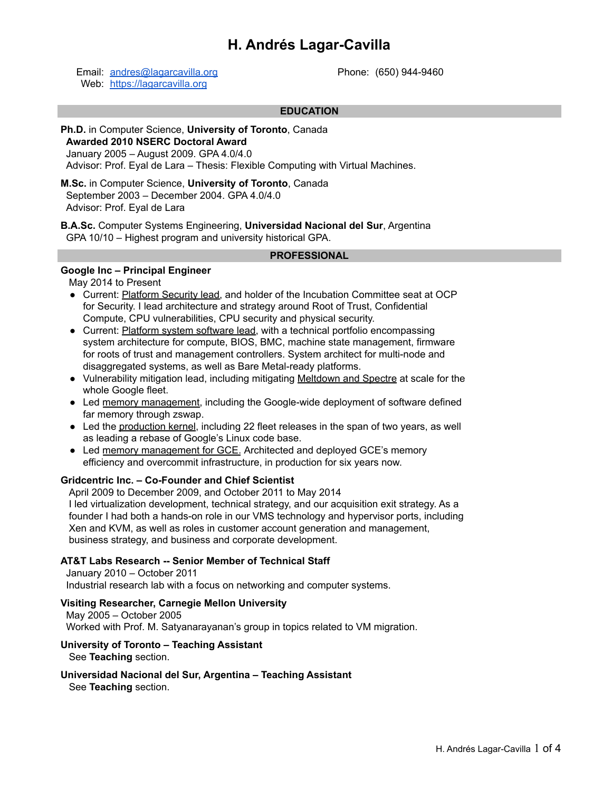# **H. Andrés Lagar-Cavilla**

Email: [andres@lagarcavilla.org](mailto:andres@lagarcavilla.org) Web: <https://lagarcavilla.org>

Phone: (650) 944-9460

### **EDUCATION**

## **Ph.D.** in Computer Science, **University of Toronto**, Canada **Awarded 2010 NSERC Doctoral Award** January 2005 – August 2009. GPA 4.0/4.0 Advisor: Prof. Eyal de Lara – Thesis: Flexible Computing with Virtual Machines.

**M.Sc.** in Computer Science, **University of Toronto**, Canada September 2003 – December 2004. GPA 4.0/4.0 Advisor: Prof. Eyal de Lara

**B.A.Sc.** Computer Systems Engineering, **Universidad Nacional del Sur**, Argentina GPA 10/10 – Highest program and university historical GPA.

#### **PROFESSIONAL**

## **Google Inc – Principal Engineer**

May 2014 to Present

- Current: Platform Security lead, and holder of the Incubation Committee seat at OCP for Security. I lead architecture and strategy around Root of Trust, Confidential Compute, CPU vulnerabilities, CPU security and physical security.
- Current: Platform system software lead, with a technical portfolio encompassing system architecture for compute, BIOS, BMC, machine state management, firmware for roots of trust and management controllers. System architect for multi-node and disaggregated systems, as well as Bare Metal-ready platforms.
- Vulnerability mitigation lead, including mitigating Meltdown and Spectre at scale for the whole Google fleet.
- Led memory management, including the Google-wide deployment of software defined far memory through zswap.
- Led the production kernel, including 22 fleet releases in the span of two years, as well as leading a rebase of Google's Linux code base.
- Led memory management for GCE. Architected and deployed GCE's memory efficiency and overcommit infrastructure, in production for six years now.

### **Gridcentric Inc. – Co-Founder and Chief Scientist**

April 2009 to December 2009, and October 2011 to May 2014 I led virtualization development, technical strategy, and our acquisition exit strategy. As a founder I had both a hands-on role in our VMS technology and hypervisor ports, including Xen and KVM, as well as roles in customer account generation and management, business strategy, and business and corporate development.

# **AT&T Labs Research -- Senior Member of Technical Staff**

January 2010 – October 2011 Industrial research lab with a focus on networking and computer systems.

### **Visiting Researcher, Carnegie Mellon University**

May 2005 – October 2005 Worked with Prof. M. Satyanarayanan's group in topics related to VM migration.

# **University of Toronto – Teaching Assistant**

See **Teaching** section.

# **Universidad Nacional del Sur, Argentina – Teaching Assistant**

See **Teaching** section.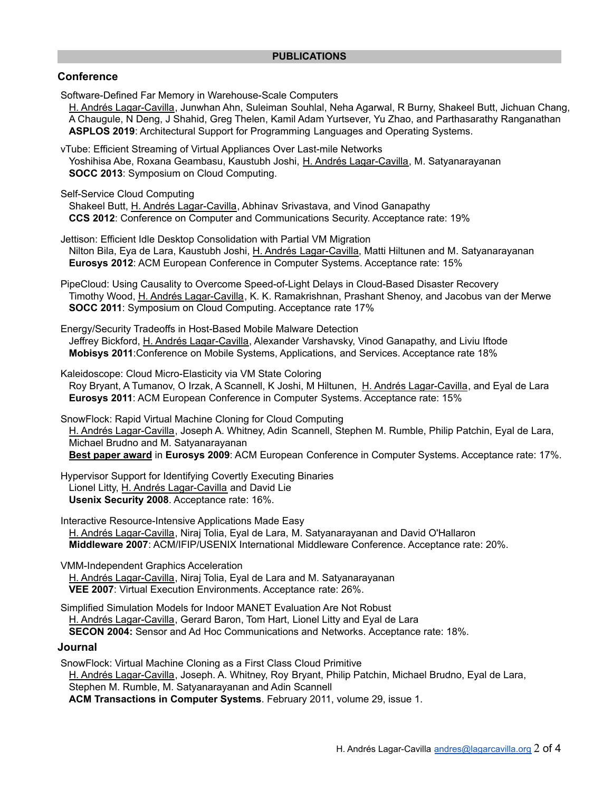# **Conference**

Software-Defined Far Memory in Warehouse-Scale Computers

H. Andrés Lagar-Cavilla, Junwhan Ahn, Suleiman Souhlal, Neha Agarwal, R Burny, Shakeel Butt, Jichuan Chang, A Chaugule, N Deng, J Shahid, Greg Thelen, Kamil Adam Yurtsever, Yu Zhao, and Parthasarathy Ranganathan **ASPLOS 2019**: Architectural Support for Programming Languages and Operating Systems.

vTube: Efficient Streaming of Virtual Appliances Over Last-mile Networks Yoshihisa Abe, Roxana Geambasu, Kaustubh Joshi, H. Andrés Lagar-Cavilla, M. Satyanarayanan **SOCC 2013**: Symposium on Cloud Computing.

Self-Service Cloud Computing

Shakeel Butt, H. Andrés Lagar-Cavilla, Abhinav Srivastava, and Vinod Ganapathy **CCS 2012**: Conference on Computer and Communications Security. Acceptance rate: 19%

Jettison: Efficient Idle Desktop Consolidation with Partial VM Migration Nilton Bila, Eya de Lara, Kaustubh Joshi, H. Andrés Lagar-Cavilla, Matti Hiltunen and M. Satyanarayanan **Eurosys 2012**: ACM European Conference in Computer Systems. Acceptance rate: 15%

PipeCloud: Using Causality to Overcome Speed-of-Light Delays in Cloud-Based Disaster Recovery Timothy Wood, H. Andrés Lagar-Cavilla, K. K. Ramakrishnan, Prashant Shenoy, and Jacobus van der Merwe **SOCC 2011**: Symposium on Cloud Computing. Acceptance rate 17%

Energy/Security Tradeoffs in Host-Based Mobile Malware Detection Jeffrey Bickford, H. Andrés Lagar-Cavilla, Alexander Varshavsky, Vinod Ganapathy, and Liviu Iftode **Mobisys 2011**:Conference on Mobile Systems, Applications, and Services. Acceptance rate 18%

Kaleidoscope: Cloud Micro-Elasticity via VM State Coloring Roy Bryant, A Tumanov, O Irzak, A Scannell, K Joshi, M Hiltunen, H. Andrés Lagar-Cavilla, and Eyal de Lara **Eurosys 2011**: ACM European Conference in Computer Systems. Acceptance rate: 15%

SnowFlock: Rapid Virtual Machine Cloning for Cloud Computing H. Andrés Lagar-Cavilla, Joseph A. Whitney, Adin Scannell, Stephen M. Rumble, Philip Patchin, Eyal de Lara, Michael Brudno and M. Satyanarayanan **Best paper award** in **Eurosys 2009**: ACM European Conference in Computer Systems. Acceptance rate: 17%.

Hypervisor Support for Identifying Covertly Executing Binaries

Lionel Litty, H. Andrés Lagar-Cavilla and David Lie

**Usenix Security 2008**. Acceptance rate: 16%.

Interactive Resource-Intensive Applications Made Easy H. Andrés Lagar-Cavilla, Niraj Tolia, Eyal de Lara, M. Satyanarayanan and David O'Hallaron **Middleware 2007**: ACM/IFIP/USENIX International Middleware Conference. Acceptance rate: 20%.

VMM-Independent Graphics Acceleration

H. Andrés Lagar-Cavilla, Niraj Tolia, Eyal de Lara and M. Satyanarayanan **VEE 2007**: Virtual Execution Environments. Acceptance rate: 26%.

Simplified Simulation Models for Indoor MANET Evaluation Are Not Robust H. Andrés Lagar-Cavilla, Gerard Baron, Tom Hart, Lionel Litty and Eyal de Lara

**SECON 2004:** Sensor and Ad Hoc Communications and Networks. Acceptance rate: 18%.

# **Journal**

SnowFlock: Virtual Machine Cloning as a First Class Cloud Primitive H. Andrés Lagar-Cavilla, Joseph. A. Whitney, Roy Bryant, Philip Patchin, Michael Brudno, Eyal de Lara, Stephen M. Rumble, M. Satyanarayanan and Adin Scannell **ACM Transactions in Computer Systems**. February 2011, volume 29, issue 1.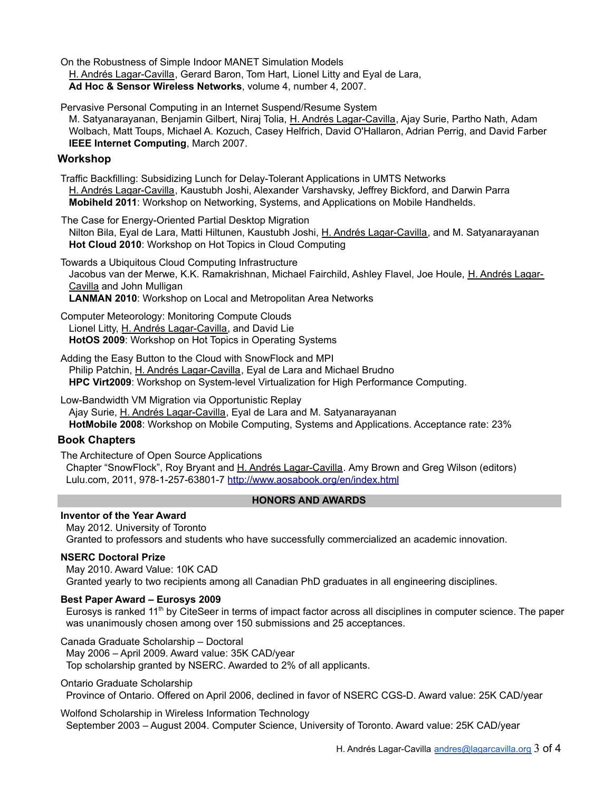On the Robustness of Simple Indoor MANET Simulation Models H. Andrés Lagar-Cavilla, Gerard Baron, Tom Hart, Lionel Litty and Eyal de Lara, **Ad Hoc & Sensor Wireless Networks**, volume 4, number 4, 2007.

Pervasive Personal Computing in an Internet Suspend/Resume System

M. Satyanarayanan, Benjamin Gilbert, Niraj Tolia, H. Andrés Lagar-Cavilla, Ajay Surie, Partho Nath, Adam Wolbach, Matt Toups, Michael A. Kozuch, Casey Helfrich, David O'Hallaron, Adrian Perrig, and David Farber **IEEE Internet Computing**, March 2007.

# **Workshop**

Traffic Backfilling: Subsidizing Lunch for Delay-Tolerant Applications in UMTS Networks H. Andrés Lagar-Cavilla, Kaustubh Joshi, Alexander Varshavsky, Jeffrey Bickford, and Darwin Parra **Mobiheld 2011**: Workshop on Networking, Systems, and Applications on Mobile Handhelds.

The Case for Energy-Oriented Partial Desktop Migration

Nilton Bila, Eyal de Lara, Matti Hiltunen, Kaustubh Joshi, H. Andrés Lagar-Cavilla, and M. Satyanarayanan **Hot Cloud 2010**: Workshop on Hot Topics in Cloud Computing

Towards a Ubiquitous Cloud Computing Infrastructure Jacobus van der Merwe, K.K. Ramakrishnan, Michael Fairchild, Ashley Flavel, Joe Houle, H. Andrés Lagar-Cavilla and John Mulligan **LANMAN 2010**: Workshop on Local and Metropolitan Area Networks

Computer Meteorology: Monitoring Compute Clouds Lionel Litty, H. Andrés Lagar-Cavilla, and David Lie **HotOS 2009**: Workshop on Hot Topics in Operating Systems

Adding the Easy Button to the Cloud with SnowFlock and MPI Philip Patchin, H. Andrés Lagar-Cavilla, Eyal de Lara and Michael Brudno **HPC Virt2009**: Workshop on System-level Virtualization for High Performance Computing.

Low-Bandwidth VM Migration via Opportunistic Replay Ajay Surie, H. Andrés Lagar-Cavilla, Eyal de Lara and M. Satyanarayanan **HotMobile 2008**: Workshop on Mobile Computing, Systems and Applications. Acceptance rate: 23%

# **Book Chapters**

The Architecture of Open Source Applications Chapter "SnowFlock", Roy Bryant and H. Andrés Lagar-Cavilla. Amy Brown and Greg Wilson (editors) Lulu.com, 2011, 978-1-257-63801-7 <http://www.aosabook.org/en/index.html>

# **HONORS AND AWARDS**

# **Inventor of the Year Award**

May 2012. University of Toronto Granted to professors and students who have successfully commercialized an academic innovation.

# **NSERC Doctoral Prize**

May 2010. Award Value: 10K CAD Granted yearly to two recipients among all Canadian PhD graduates in all engineering disciplines.

# **Best Paper Award – Eurosys 2009**

Eurosys is ranked 11<sup>th</sup> by CiteSeer in terms of impact factor across all disciplines in computer science. The paper was unanimously chosen among over 150 submissions and 25 acceptances.

# Canada Graduate Scholarship – Doctoral

May 2006 – April 2009. Award value: 35K CAD/year Top scholarship granted by NSERC. Awarded to 2% of all applicants.

# Ontario Graduate Scholarship

Province of Ontario. Offered on April 2006, declined in favor of NSERC CGS-D. Award value: 25K CAD/year

Wolfond Scholarship in Wireless Information Technology September 2003 – August 2004. Computer Science, University of Toronto. Award value: 25K CAD/year